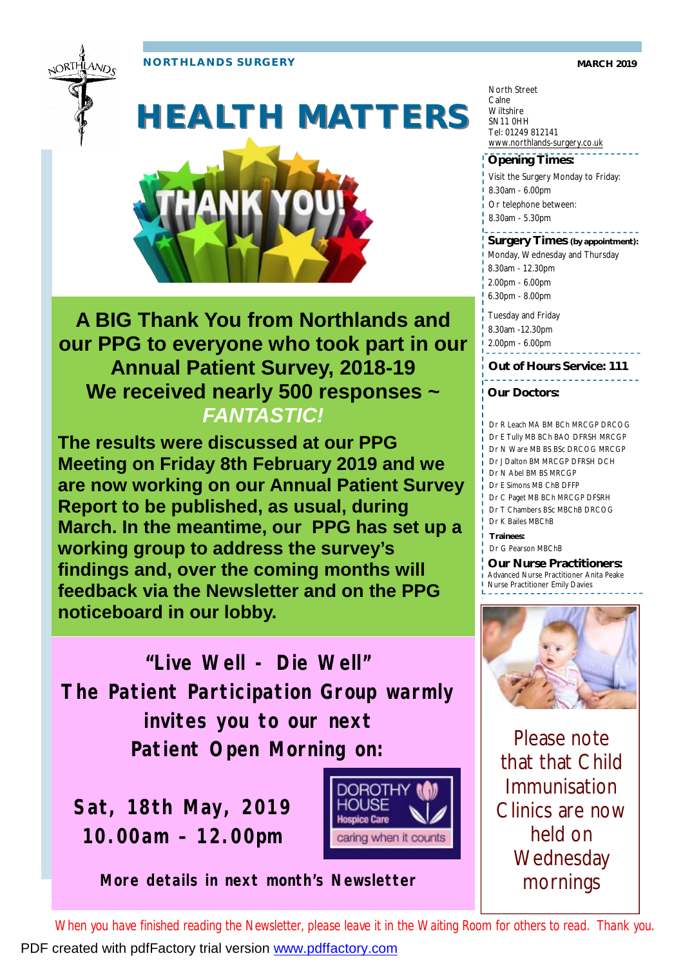**NORTHLANDS SURGERY MARCH 2019** 





# **HEALTH MATTERS**



**A BIG Thank You from Northlands and our PPG to everyone who took part in our Annual Patient Survey, 2018-19 We received nearly 500 responses ~**  *FANTASTIC!*

**The results were discussed at our PPG Meeting on Friday 8th February 2019 and we are now working on our Annual Patient Survey Report to be published, as usual, during March. In the meantime, our PPG has set up a working group to address the survey's findings and, over the coming months will feedback via the Newsletter and on the PPG noticeboard in our lobby.** 

**"Live Well - Die Well" The Patient Participation Group warmly invites you to our next Patient Open Morning on:** 

**Sat, 18th May, 2019 10.00am – 12.00pm**



*More details in next month's Newsletter* 

North Street Calne **Wiltshire** SN11 0HH Tel: 01249 812141 [www.northlands-surgery.co.uk](http://www.northlands-surgery.co.uk)

#### **Opening Times:**

- Visit the Surgery Monday to Friday:
- 8.30am 6.00pm
- Or telephone between:
- 8.30am 5.30pm

### **Surgery Times (by appointment):**

- Monday, Wednesday and Thursday
- 8.30am 12.30pm
- 2.00pm 6.00pm
- 6.30pm 8.00pm
- Tuesday and Friday
- 8.30am -12.30pm
- 2.00pm 6.00pm

**Out of Hours Service: 111**

**Our Doctors:** 

#### Dr R Leach MA BM BCh MRCGP DRCOG

- Dr E Tully MB BCh BAO DFRSH MRCGP
- Dr N Ware MB BS BSc DRCOG MRCGP
- Dr J Dalton BM MRCGP DFRSH DCH
- Dr N Abel BM BS MRCGP
- Dr E Simons MB ChB DFFP
- Dr C Paget MB BCh MRCGP DFSRH Dr T Chambers BSc MBChB DRCOG
- Dr K Bailes MBChB

**Trainees:**

Dr G Pearson MBChB

**Our Nurse Practitioners:**  Advanced Nurse Practitioner Anita Peake Nurse Practitioner Emily Davies



Please note that that Child Immunisation Clinics are now held on **Wednesday** mornings

*When you have finished reading the Newsletter, please leave it in the Waiting Room for others to read. Thank you.*  PDF created with pdfFactory trial version [www.pdffactory.com](http://www.pdffactory.com)